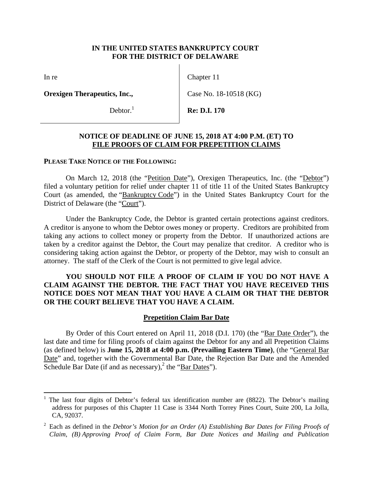## **IN THE UNITED STATES BANKRUPTCY COURT FOR THE DISTRICT OF DELAWARE**

In re

 $\overline{a}$ 

**Orexigen Therapeutics, Inc.,** 

Debtor. $<sup>1</sup>$ </sup>

Chapter 11

Case No. 18-10518 (KG)

**Re: D.I. 170** 

## **NOTICE OF DEADLINE OF JUNE 15, 2018 AT 4:00 P.M. (ET) TO FILE PROOFS OF CLAIM FOR PREPETITION CLAIMS**

#### **PLEASE TAKE NOTICE OF THE FOLLOWING:**

On March 12, 2018 (the "Petition Date"), Orexigen Therapeutics, Inc. (the "Debtor") filed a voluntary petition for relief under chapter 11 of title 11 of the United States Bankruptcy Court (as amended, the "Bankruptcy Code") in the United States Bankruptcy Court for the District of Delaware (the "Court").

Under the Bankruptcy Code, the Debtor is granted certain protections against creditors. A creditor is anyone to whom the Debtor owes money or property. Creditors are prohibited from taking any actions to collect money or property from the Debtor. If unauthorized actions are taken by a creditor against the Debtor, the Court may penalize that creditor. A creditor who is considering taking action against the Debtor, or property of the Debtor, may wish to consult an attorney. The staff of the Clerk of the Court is not permitted to give legal advice.

## **YOU SHOULD NOT FILE A PROOF OF CLAIM IF YOU DO NOT HAVE A CLAIM AGAINST THE DEBTOR. THE FACT THAT YOU HAVE RECEIVED THIS NOTICE DOES NOT MEAN THAT YOU HAVE A CLAIM OR THAT THE DEBTOR OR THE COURT BELIEVE THAT YOU HAVE A CLAIM.**

#### **Prepetition Claim Bar Date**

 By Order of this Court entered on April 11, 2018 (D.I. 170) (the "Bar Date Order"), the last date and time for filing proofs of claim against the Debtor for any and all Prepetition Claims (as defined below) is **June 15, 2018 at 4:00 p.m. (Prevailing Eastern Time)**, (the "General Bar Date" and, together with the Governmental Bar Date, the Rejection Bar Date and the Amended Schedule Bar Date (if and as necessary),<sup>2</sup> the "Bar Dates").

<sup>1</sup> The last four digits of Debtor's federal tax identification number are (8822). The Debtor's mailing address for purposes of this Chapter 11 Case is 3344 North Torrey Pines Court, Suite 200, La Jolla, CA, 92037.

<sup>&</sup>lt;sup>2</sup> Each as defined in the *Debtor's Motion for an Order (A) Establishing Bar Dates for Filing Proofs of Claim, (B) Approving Proof of Claim Form, Bar Date Notices and Mailing and Publication*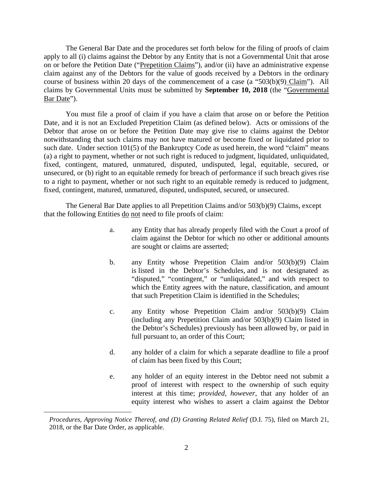The General Bar Date and the procedures set forth below for the filing of proofs of claim apply to all (i) claims against the Debtor by any Entity that is not a Governmental Unit that arose on or before the Petition Date ("Prepetition Claims"), and/or (ii) have an administrative expense claim against any of the Debtors for the value of goods received by a Debtors in the ordinary course of business within 20 days of the commencement of a case (a "503(b)(9) Claim"). All claims by Governmental Units must be submitted by **September 10, 2018** (the "Governmental Bar Date").

 You must file a proof of claim if you have a claim that arose on or before the Petition Date, and it is not an Excluded Prepetition Claim (as defined below). Acts or omissions of the Debtor that arose on or before the Petition Date may give rise to claims against the Debtor notwithstanding that such claims may not have matured or become fixed or liquidated prior to such date. Under section 101(5) of the Bankruptcy Code as used herein, the word "claim" means (a) a right to payment, whether or not such right is reduced to judgment, liquidated, unliquidated, fixed, contingent, matured, unmatured, disputed, undisputed, legal, equitable, secured, or unsecured, or (b) right to an equitable remedy for breach of performance if such breach gives rise to a right to payment, whether or not such right to an equitable remedy is reduced to judgment, fixed, contingent, matured, unmatured, disputed, undisputed, secured, or unsecured.

 The General Bar Date applies to all Prepetition Claims and/or 503(b)(9) Claims, except that the following Entities do not need to file proofs of claim:

- a. any Entity that has already properly filed with the Court a proof of claim against the Debtor for which no other or additional amounts are sought or claims are asserted;
- b. any Entity whose Prepetition Claim and/or 503(b)(9) Claim is listed in the Debtor's Schedules, and is not designated as "disputed," "contingent," or "unliquidated," and with respect to which the Entity agrees with the nature, classification, and amount that such Prepetition Claim is identified in the Schedules;
- c. any Entity whose Prepetition Claim and/or 503(b)(9) Claim (including any Prepetition Claim and/or 503(b)(9) Claim listed in the Debtor's Schedules) previously has been allowed by, or paid in full pursuant to, an order of this Court;
- d. any holder of a claim for which a separate deadline to file a proof of claim has been fixed by this Court;
- e. any holder of an equity interest in the Debtor need not submit a proof of interest with respect to the ownership of such equity interest at this time; *provided, however*, that any holder of an equity interest who wishes to assert a claim against the Debtor

 $\overline{a}$ 

*Procedures, Approving Notice Thereof, and (D) Granting Related Relief* (D.I. 75), filed on March 21, 2018, or the Bar Date Order, as applicable.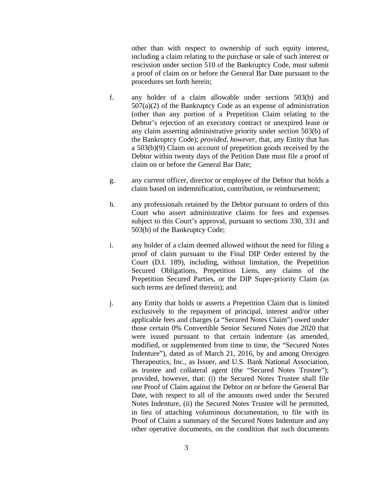other than with respect to ownership of such equity interest, including a claim relating to the purchase or sale of such interest or rescission under section 510 of the Bankruptcy Code, must submit a proof of claim on or before the General Bar Date pursuant to the procedures set forth herein;

- f. any holder of a claim allowable under sections 503(b) and  $507(a)(2)$  of the Bankruptcy Code as an expense of administration (other than any portion of a Prepetition Claim relating to the Debtor's rejection of an executory contract or unexpired lease or any claim asserting administrative priority under section 503(b) of the Bankruptcy Code); *provided, however*, that, any Entity that has a 503(b)(9) Claim on account of prepetition goods received by the Debtor within twenty days of the Petition Date must file a proof of claim on or before the General Bar Date;
- g. any current officer, director or employee of the Debtor that holds a claim based on indemnification, contribution, or reimbursement;
- h. any professionals retained by the Debtor pursuant to orders of this Court who assert administrative claims for fees and expenses subject to this Court's approval, pursuant to sections 330, 331 and 503(b) of the Bankruptcy Code;
- i. any holder of a claim deemed allowed without the need for filing a proof of claim pursuant to the Final DIP Order entered by the Court (D.I. 189), including, without limitation, the Prepetition Secured Obligations, Prepetition Liens, any claims of the Prepetition Secured Parties, or the DIP Super-priority Claim (as such terms are defined therein); and
- j. any Entity that holds or asserts a Prepetition Claim that is limited exclusively to the repayment of principal, interest and/or other applicable fees and charges (a "Secured Notes Claim") owed under those certain 0% Convertible Senior Secured Notes due 2020 that were issued pursuant to that certain indenture (as amended, modified, or supplemented from time to time, the "Secured Notes Indenture"), dated as of March 21, 2016, by and among Orexigen Therapeutics, Inc., as Issuer, and U.S. Bank National Association, as trustee and collateral agent (the "Secured Notes Trustee"); provided, however, that: (i) the Secured Notes Trustee shall file one Proof of Claim against the Debtor on or before the General Bar Date, with respect to all of the amounts owed under the Secured Notes Indenture, (ii) the Secured Notes Trustee will be permitted, in lieu of attaching voluminous documentation, to file with its Proof of Claim a summary of the Secured Notes Indenture and any other operative documents, on the condition that such documents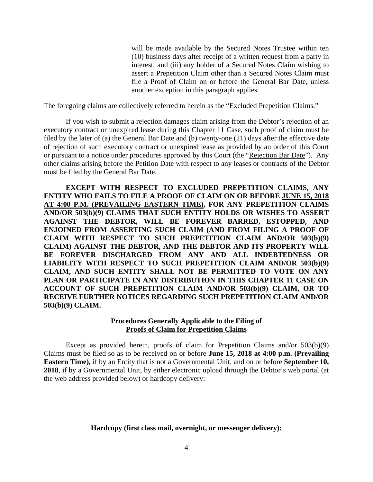will be made available by the Secured Notes Trustee within ten (10) business days after receipt of a written request from a party in interest, and (iii) any holder of a Secured Notes Claim wishing to assert a Prepetition Claim other than a Secured Notes Claim must file a Proof of Claim on or before the General Bar Date, unless another exception in this paragraph applies.

The foregoing claims are collectively referred to herein as the "Excluded Prepetition Claims."

 If you wish to submit a rejection damages claim arising from the Debtor's rejection of an executory contract or unexpired lease during this Chapter 11 Case, such proof of claim must be filed by the later of (a) the General Bar Date and (b) twenty-one (21) days after the effective date of rejection of such executory contract or unexpired lease as provided by an order of this Court or pursuant to a notice under procedures approved by this Court (the "Rejection Bar Date"). Any other claims arising before the Petition Date with respect to any leases or contracts of the Debtor must be filed by the General Bar Date.

 **EXCEPT WITH RESPECT TO EXCLUDED PREPETITION CLAIMS, ANY ENTITY WHO FAILS TO FILE A PROOF OF CLAIM ON OR BEFORE JUNE 15, 2018 AT 4:00 P.M. (PREVAILING EASTERN TIME), FOR ANY PREPETITION CLAIMS AND/OR 503(b)(9) CLAIMS THAT SUCH ENTITY HOLDS OR WISHES TO ASSERT AGAINST THE DEBTOR, WILL BE FOREVER BARRED, ESTOPPED, AND ENJOINED FROM ASSERTING SUCH CLAIM (AND FROM FILING A PROOF OF CLAIM WITH RESPECT TO SUCH PREPETITION CLAIM AND/OR 503(b)(9) CLAIM) AGAINST THE DEBTOR, AND THE DEBTOR AND ITS PROPERTY WILL BE FOREVER DISCHARGED FROM ANY AND ALL INDEBTEDNESS OR LIABILITY WITH RESPECT TO SUCH PREPETITION CLAIM AND/OR 503(b)(9) CLAIM, AND SUCH ENTITY SHALL NOT BE PERMITTED TO VOTE ON ANY PLAN OR PARTICIPATE IN ANY DISTRIBUTION IN THIS CHAPTER 11 CASE ON ACCOUNT OF SUCH PREPETITION CLAIM AND/OR 503(b)(9) CLAIM, OR TO RECEIVE FURTHER NOTICES REGARDING SUCH PREPETITION CLAIM AND/OR 503(b)(9) CLAIM.** 

## **Procedures Generally Applicable to the Filing of Proofs of Claim for Prepetition Claims**

Except as provided herein, proofs of claim for Prepetition Claims and/or 503(b)(9) Claims must be filed so as to be received on or before **June 15, 2018 at 4:00 p.m. (Prevailing Eastern Time),** if by an Entity that is not a Governmental Unit, and on or before **September 10, 2018**, if by a Governmental Unit, by either electronic upload through the Debtor's web portal (at the web address provided below) or hardcopy delivery:

## **Hardcopy (first class mail, overnight, or messenger delivery):**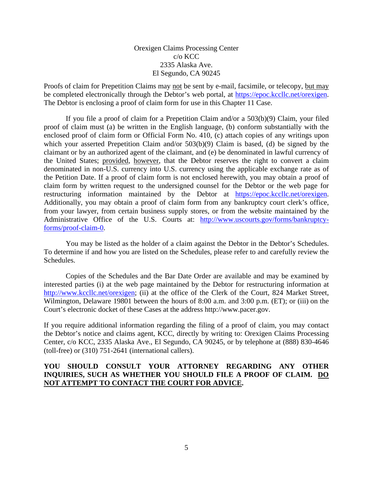## Orexigen Claims Processing Center c/o KCC 2335 Alaska Ave. El Segundo, CA 90245

Proofs of claim for Prepetition Claims may not be sent by e-mail, facsimile, or telecopy, but may be completed electronically through the Debtor's web portal, at https://epoc.kccllc.net/orexigen. The Debtor is enclosing a proof of claim form for use in this Chapter 11 Case.

 If you file a proof of claim for a Prepetition Claim and/or a 503(b)(9) Claim, your filed proof of claim must (a) be written in the English language, (b) conform substantially with the enclosed proof of claim form or Official Form No. 410, (c) attach copies of any writings upon which your asserted Prepetition Claim and/or 503(b)(9) Claim is based, (d) be signed by the claimant or by an authorized agent of the claimant, and (e) be denominated in lawful currency of the United States; provided, however, that the Debtor reserves the right to convert a claim denominated in non-U.S. currency into U.S. currency using the applicable exchange rate as of the Petition Date. If a proof of claim form is not enclosed herewith, you may obtain a proof of claim form by written request to the undersigned counsel for the Debtor or the web page for restructuring information maintained by the Debtor at https://epoc.kccllc.net/orexigen. Additionally, you may obtain a proof of claim form from any bankruptcy court clerk's office, from your lawyer, from certain business supply stores, or from the website maintained by the Administrative Office of the U.S. Courts at: http://www.uscourts.gov/forms/bankruptcyforms/proof-claim-0.

 You may be listed as the holder of a claim against the Debtor in the Debtor's Schedules. To determine if and how you are listed on the Schedules, please refer to and carefully review the Schedules.

 Copies of the Schedules and the Bar Date Order are available and may be examined by interested parties (i) at the web page maintained by the Debtor for restructuring information at http://www.kccllc.net/orexigen; (ii) at the office of the Clerk of the Court, 824 Market Street, Wilmington, Delaware 19801 between the hours of 8:00 a.m. and 3:00 p.m. (ET); or (iii) on the Court's electronic docket of these Cases at the address http://www.pacer.gov.

If you require additional information regarding the filing of a proof of claim, you may contact the Debtor's notice and claims agent, KCC, directly by writing to: Orexigen Claims Processing Center, c/o KCC, 2335 Alaska Ave., El Segundo, CA 90245, or by telephone at (888) 830-4646 (toll-free) or (310) 751-2641 (international callers).

# **YOU SHOULD CONSULT YOUR ATTORNEY REGARDING ANY OTHER INQUIRIES, SUCH AS WHETHER YOU SHOULD FILE A PROOF OF CLAIM. DO NOT ATTEMPT TO CONTACT THE COURT FOR ADVICE.**